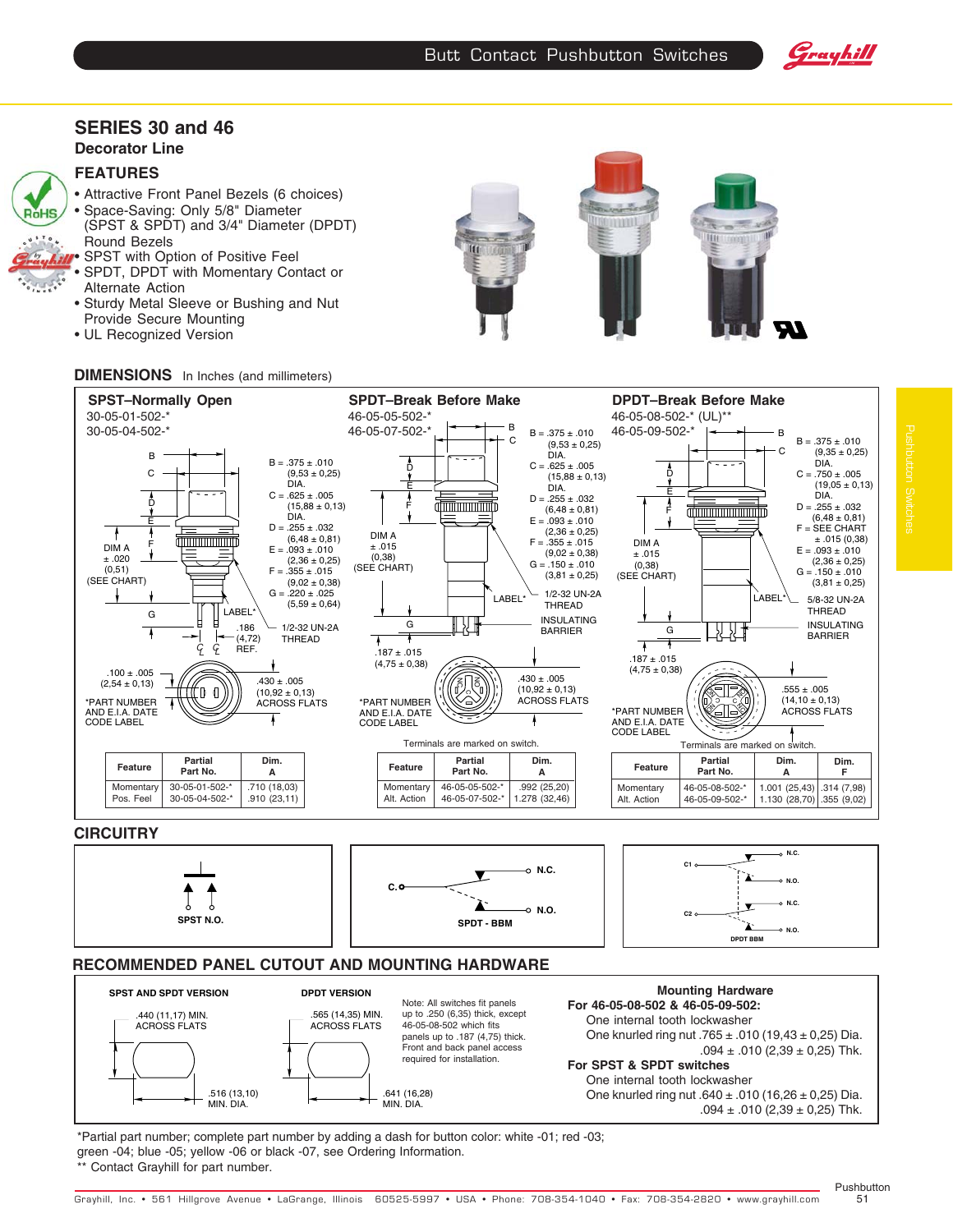



### **SERIES 30 and 46 Decorator Line**

## **FEATURES**



- Attractive Front Panel Bezels (6 choices) • Space-Saving: Only 5/8" Diameter (SPST & SPDT) and 3/4" Diameter (DPDT) Round Bezels
- SPST with Option of Positive Feel
- SPDT, DPDT with Momentary Contact or
- Alternate Action • Sturdy Metal Sleeve or Bushing and Nut
- Provide Secure Mounting • UL Recognized Version





## **DIMENSIONS** In Inches (and millimeters)





\*Partial part number; complete part number by adding a dash for button color: white -01; red -03; green -04; blue -05; yellow -06 or black -07, see Ordering Information. Contact Grayhill for part number.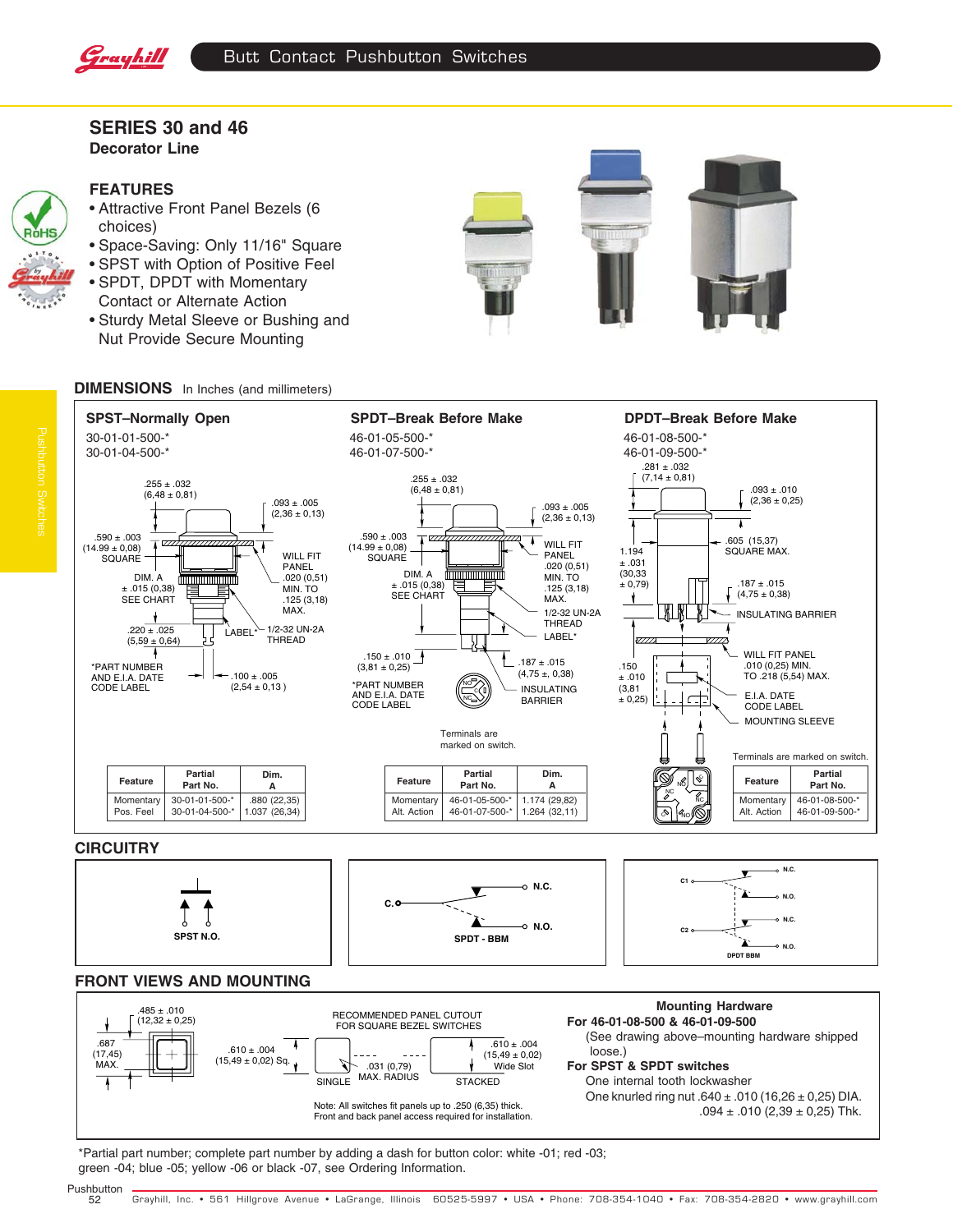

# **SERIES 30 and 46 Decorator Line**



#### **FEATURES**

- Attractive Front Panel Bezels (6 choices)
- Space-Saving: Only 11/16" Square
- SPST with Option of Positive Feel
- SPDT, DPDT with Momentary Contact or Alternate Action
- Sturdy Metal Sleeve or Bushing and Nut Provide Secure Mounting





# **DIMENSIONS** In Inches (and millimeters)



 loose.) **For SPST & SPDT switches** One internal tooth lockwasher One knurled ring nut  $.640 \pm .010$  (16,26  $\pm$  0,25) DIA. .094  $\pm$  .010 (2,39  $\pm$  0,25) Thk. .687 (17,45) **MAX**  $.610 + .004$  $(15,49 \pm 0,02)$  Sq.  $.610 \pm .004$  $(15,49 \pm 0,02)$ <br>Wide Slot  $.031(0.79)$ SINGLE MAX. RADIUS STACKED Note: All switches fit panels up to .250 (6,35) thick. Front and back panel access required for installation.

\*Partial part number; complete part number by adding a dash for button color: white -01; red -03; green -04; blue -05; yellow -06 or black -07, see Ordering Information.

Pushbutton